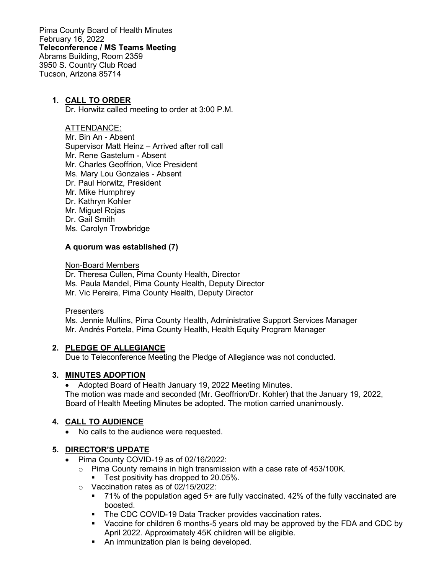Pima County Board of Health Minutes February 16, 2022 **Teleconference / MS Teams Meeting** Abrams Building, Room 2359 3950 S. Country Club Road Tucson, Arizona 85714

#### **1. CALL TO ORDER**

Dr. Horwitz called meeting to order at 3:00 P.M.

#### ATTENDANCE:

Mr. Bin An - Absent Supervisor Matt Heinz – Arrived after roll call Mr. Rene Gastelum - Absent Mr. Charles Geoffrion, Vice President Ms. Mary Lou Gonzales - Absent Dr. Paul Horwitz, President Mr. Mike Humphrey Dr. Kathryn Kohler Mr. Miguel Rojas Dr. Gail Smith Ms. Carolyn Trowbridge

#### **A quorum was established (7)**

#### Non-Board Members

Dr. Theresa Cullen, Pima County Health, Director Ms. Paula Mandel, Pima County Health, Deputy Director Mr. Vic Pereira, Pima County Health, Deputy Director

#### **Presenters**

Ms. Jennie Mullins, Pima County Health, Administrative Support Services Manager Mr. Andrés Portela, Pima County Health, Health Equity Program Manager

#### **2. PLEDGE OF ALLEGIANCE**

Due to Teleconference Meeting the Pledge of Allegiance was not conducted.

## **3. MINUTES ADOPTION**

• Adopted Board of Health January 19, 2022 Meeting Minutes. The motion was made and seconded (Mr. Geoffrion/Dr. Kohler) that the January 19, 2022, Board of Health Meeting Minutes be adopted. The motion carried unanimously.

## **4. CALL TO AUDIENCE**

• No calls to the audience were requested.

## **5. DIRECTOR'S UPDATE**

- Pima County COVID-19 as of 02/16/2022:
	- $\circ$  Pima County remains in high transmission with a case rate of 453/100K.
	- Test positivity has dropped to 20.05%.
	- o Vaccination rates as of 02/15/2022:
		- $\blacksquare$  71% of the population aged 5+ are fully vaccinated. 42% of the fully vaccinated are boosted.
		- **The CDC COVID-19 Data Tracker provides vaccination rates.**
		- Vaccine for children 6 months-5 years old may be approved by the FDA and CDC by April 2022. Approximately 45K children will be eligible.
		- An immunization plan is being developed.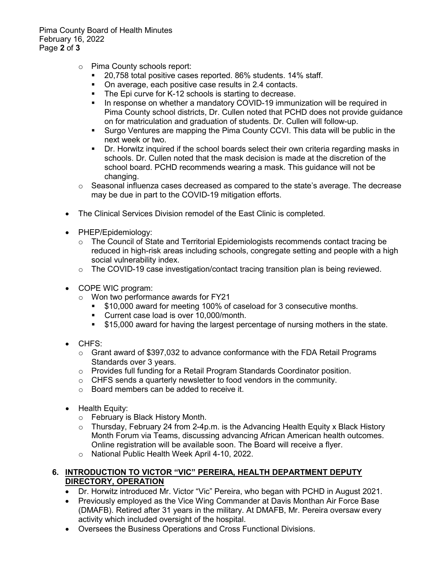Pima County Board of Health Minutes February 16, 2022 Page **2** of **3**

- o Pima County schools report:<br>20 758 total positive case
	- 20,758 total positive cases reported. 86% students. 14% staff.<br>■ On average, each positive case results in 2.4 contacts.
	- On average, each positive case results in 2.4 contacts.
	- The Epi curve for K-12 schools is starting to decrease.<br>
	In response on whether a mandatory COVID-19 immur
	- In response on whether a mandatory COVID-19 immunization will be required in Pima County school districts, Dr. Cullen noted that PCHD does not provide guidance on for matriculation and graduation of students. Dr. Cullen will follow-up.
	- Surgo Ventures are mapping the Pima County CCVI. This data will be public in the next week or two.
	- Dr. Horwitz inquired if the school boards select their own criteria regarding masks in schools. Dr. Cullen noted that the mask decision is made at the discretion of the school board. PCHD recommends wearing a mask. This guidance will not be changing.
- $\circ$  Seasonal influenza cases decreased as compared to the state's average. The decrease may be due in part to the COVID-19 mitigation efforts.
- The Clinical Services Division remodel of the East Clinic is completed.
- PHEP/Epidemiology:
	- $\circ$  The Council of State and Territorial Epidemiologists recommends contact tracing be reduced in high-risk areas including schools, congregate setting and people with a high social vulnerability index.
	- $\circ$  The COVID-19 case investigation/contact tracing transition plan is being reviewed.
- COPE WIC program:
	- o Won two performance awards for FY21
		- **510,000 award for meeting 100% of caseload for 3 consecutive months.**
		- Current case load is over 10,000/month.
		- \$15,000 award for having the largest percentage of nursing mothers in the state.
- CHFS:
	- $\circ$  Grant award of \$397,032 to advance conformance with the FDA Retail Programs Standards over 3 years.
	- o Provides full funding for a Retail Program Standards Coordinator position.
	- o CHFS sends a quarterly newsletter to food vendors in the community.
	- o Board members can be added to receive it.
- Health Equity:
	- o February is Black History Month.
	- o Thursday, February 24 from 2-4p.m. is the Advancing Health Equity x Black History Month Forum via Teams, discussing advancing African American health outcomes. Online registration will be available soon. The Board will receive a flyer.
	- o National Public Health Week April 4-10, 2022.

#### **6. INTRODUCTION TO VICTOR "VIC" PEREIRA, HEALTH DEPARTMENT DEPUTY DIRECTORY, OPERATION**

- Dr. Horwitz introduced Mr. Victor "Vic" Pereira, who began with PCHD in August 2021.
- Previously employed as the Vice Wing Commander at Davis Monthan Air Force Base (DMAFB). Retired after 31 years in the military. At DMAFB, Mr. Pereira oversaw every activity which included oversight of the hospital.
- Oversees the Business Operations and Cross Functional Divisions.